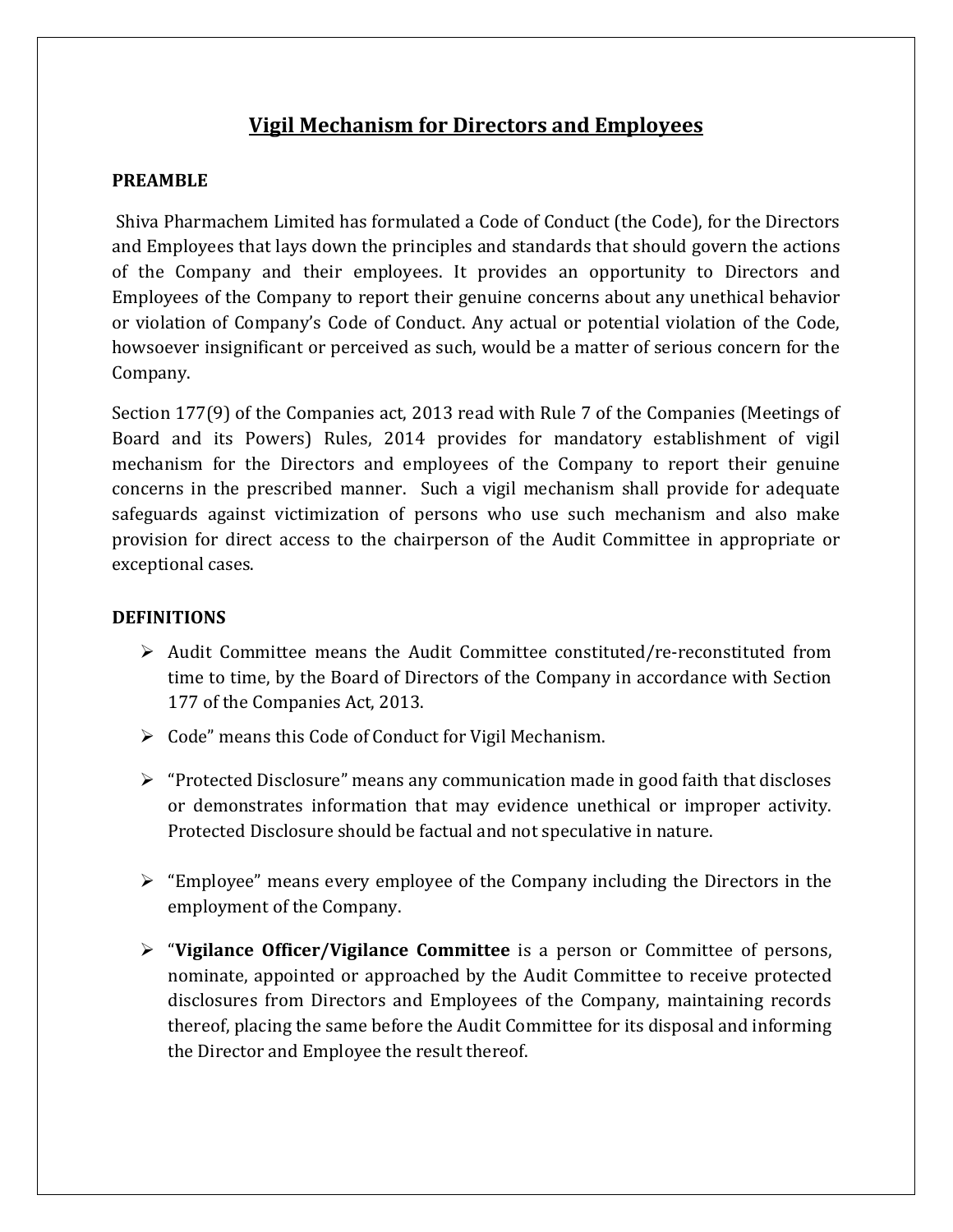# Vigil Mechanism for Directors and Employees

### PREAMBLE

Shiva Pharmachem Limited has formulated a Code of Conduct (the Code), for the Directors and Employees that lays down the principles and standards that should govern the actions of the Company and their employees. It provides an opportunity to Directors and Employees of the Company to report their genuine concerns about any unethical behavior or violation of Company's Code of Conduct. Any actual or potential violation of the Code, howsoever insignificant or perceived as such, would be a matter of serious concern for the Company.

Section 177(9) of the Companies act, 2013 read with Rule 7 of the Companies (Meetings of Board and its Powers) Rules, 2014 provides for mandatory establishment of vigil mechanism for the Directors and employees of the Company to report their genuine concerns in the prescribed manner. Such a vigil mechanism shall provide for adequate safeguards against victimization of persons who use such mechanism and also make provision for direct access to the chairperson of the Audit Committee in appropriate or exceptional cases.

#### **DEFINITIONS**

- Audit Committee means the Audit Committee constituted/re-reconstituted from time to time, by the Board of Directors of the Company in accordance with Section 177 of the Companies Act, 2013.
- $\triangleright$  Code" means this Code of Conduct for Vigil Mechanism.
- $\triangleright$  "Protected Disclosure" means any communication made in good faith that discloses or demonstrates information that may evidence unethical or improper activity. Protected Disclosure should be factual and not speculative in nature.
- $\triangleright$  "Employee" means every employee of the Company including the Directors in the employment of the Company.
- $\triangleright$  "Vigilance Officer/Vigilance Committee is a person or Committee of persons, nominate, appointed or approached by the Audit Committee to receive protected disclosures from Directors and Employees of the Company, maintaining records thereof, placing the same before the Audit Committee for its disposal and informing the Director and Employee the result thereof.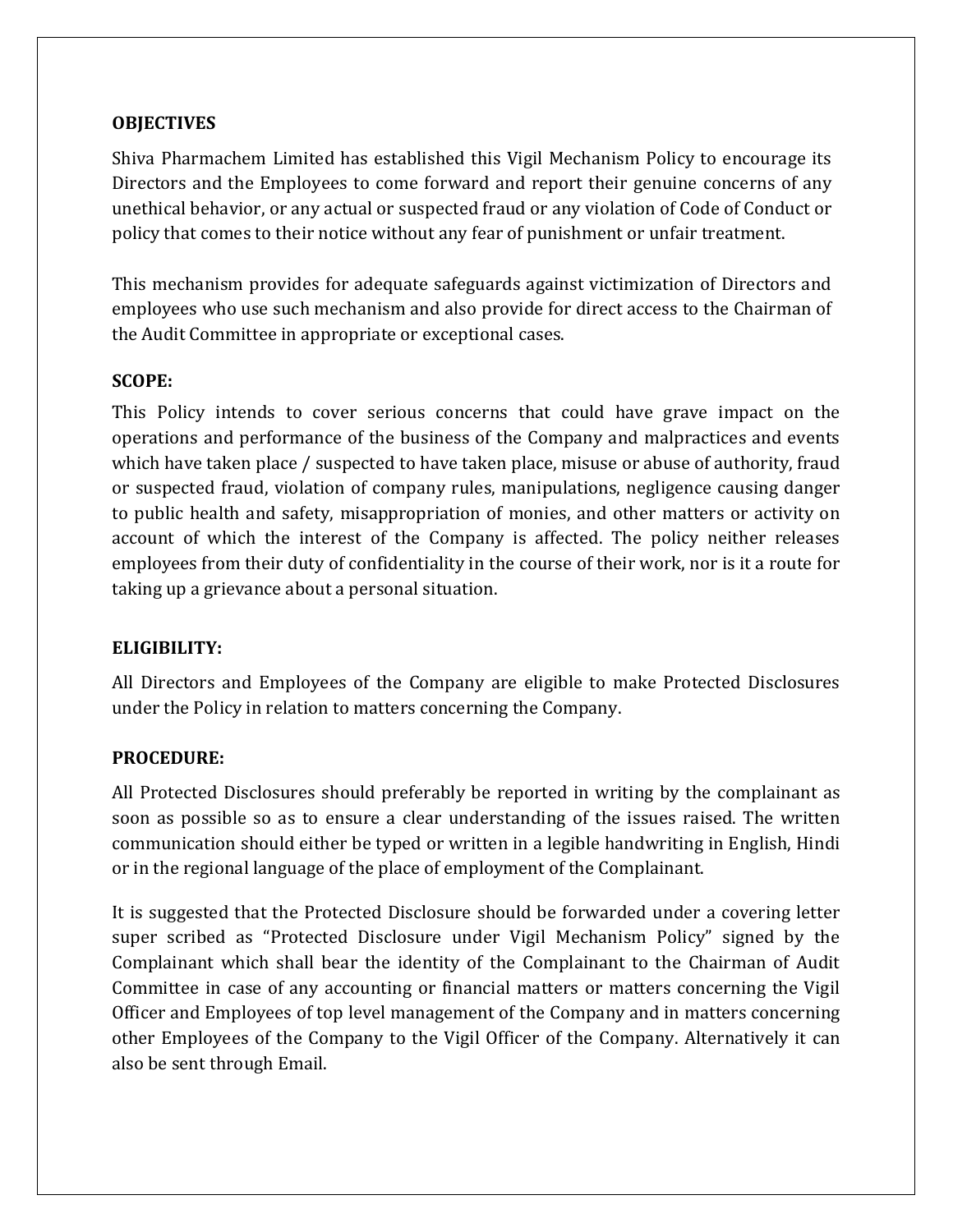### **OBJECTIVES**

Shiva Pharmachem Limited has established this Vigil Mechanism Policy to encourage its Directors and the Employees to come forward and report their genuine concerns of any unethical behavior, or any actual or suspected fraud or any violation of Code of Conduct or policy that comes to their notice without any fear of punishment or unfair treatment.

This mechanism provides for adequate safeguards against victimization of Directors and employees who use such mechanism and also provide for direct access to the Chairman of the Audit Committee in appropriate or exceptional cases.

### SCOPE:

This Policy intends to cover serious concerns that could have grave impact on the operations and performance of the business of the Company and malpractices and events which have taken place / suspected to have taken place, misuse or abuse of authority, fraud or suspected fraud, violation of company rules, manipulations, negligence causing danger to public health and safety, misappropriation of monies, and other matters or activity on account of which the interest of the Company is affected. The policy neither releases employees from their duty of confidentiality in the course of their work, nor is it a route for taking up a grievance about a personal situation.

#### ELIGIBILITY:

All Directors and Employees of the Company are eligible to make Protected Disclosures under the Policy in relation to matters concerning the Company.

#### PROCEDURE:

All Protected Disclosures should preferably be reported in writing by the complainant as soon as possible so as to ensure a clear understanding of the issues raised. The written communication should either be typed or written in a legible handwriting in English, Hindi or in the regional language of the place of employment of the Complainant.

It is suggested that the Protected Disclosure should be forwarded under a covering letter super scribed as "Protected Disclosure under Vigil Mechanism Policy" signed by the Complainant which shall bear the identity of the Complainant to the Chairman of Audit Committee in case of any accounting or financial matters or matters concerning the Vigil Officer and Employees of top level management of the Company and in matters concerning other Employees of the Company to the Vigil Officer of the Company. Alternatively it can also be sent through Email.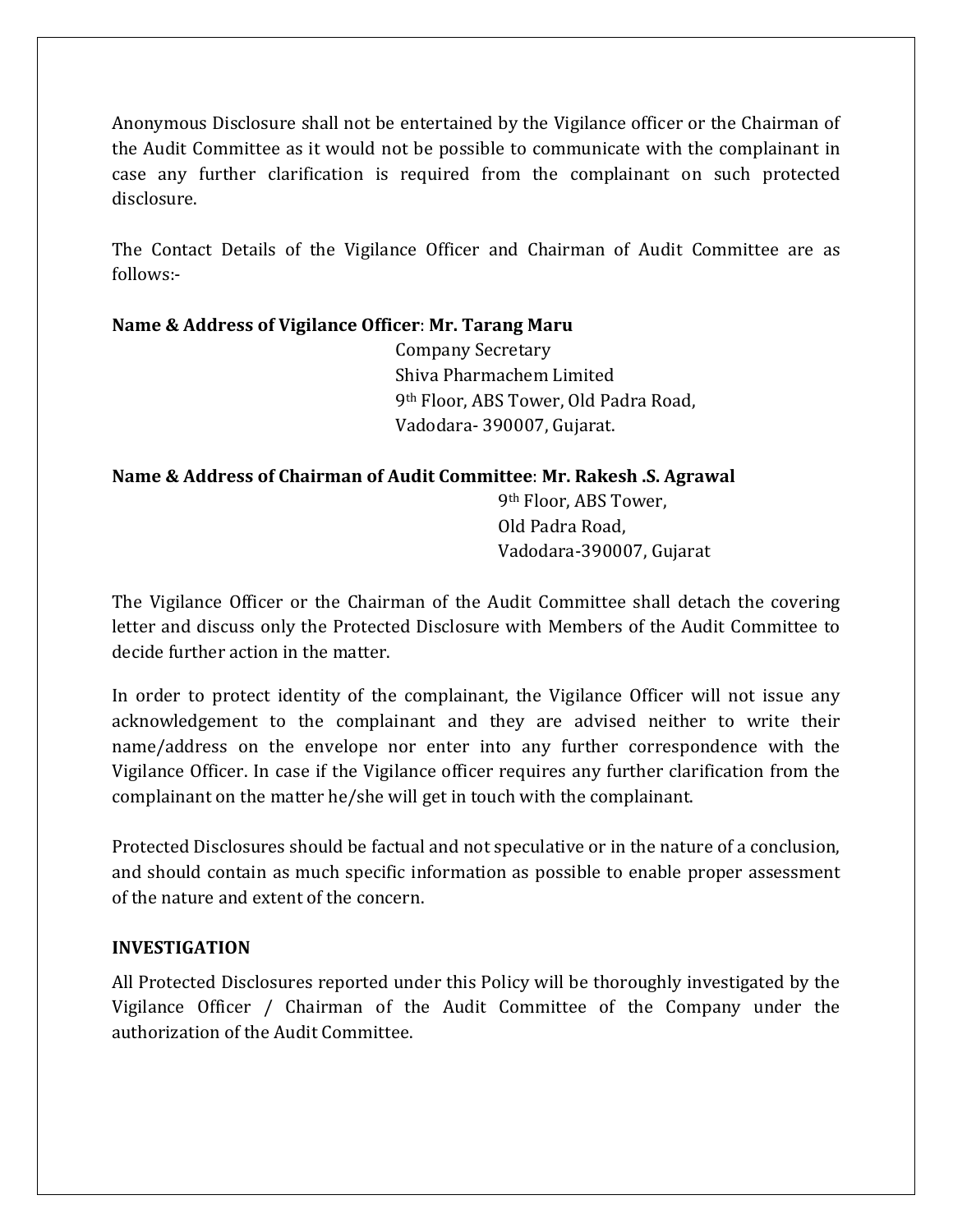Anonymous Disclosure shall not be entertained by the Vigilance officer or the Chairman of the Audit Committee as it would not be possible to communicate with the complainant in case any further clarification is required from the complainant on such protected disclosure.

The Contact Details of the Vigilance Officer and Chairman of Audit Committee are as follows:-

# Name & Address of Vigilance Officer: Mr. Tarang Maru

 Company Secretary Shiva Pharmachem Limited 9th Floor, ABS Tower, Old Padra Road, Vadodara- 390007, Gujarat.

### Name & Address of Chairman of Audit Committee: Mr. Rakesh .S. Agrawal

 9th Floor, ABS Tower, Old Padra Road, Vadodara-390007, Gujarat

The Vigilance Officer or the Chairman of the Audit Committee shall detach the covering letter and discuss only the Protected Disclosure with Members of the Audit Committee to decide further action in the matter.

In order to protect identity of the complainant, the Vigilance Officer will not issue any acknowledgement to the complainant and they are advised neither to write their name/address on the envelope nor enter into any further correspondence with the Vigilance Officer. In case if the Vigilance officer requires any further clarification from the complainant on the matter he/she will get in touch with the complainant.

Protected Disclosures should be factual and not speculative or in the nature of a conclusion, and should contain as much specific information as possible to enable proper assessment of the nature and extent of the concern.

# INVESTIGATION

All Protected Disclosures reported under this Policy will be thoroughly investigated by the Vigilance Officer / Chairman of the Audit Committee of the Company under the authorization of the Audit Committee.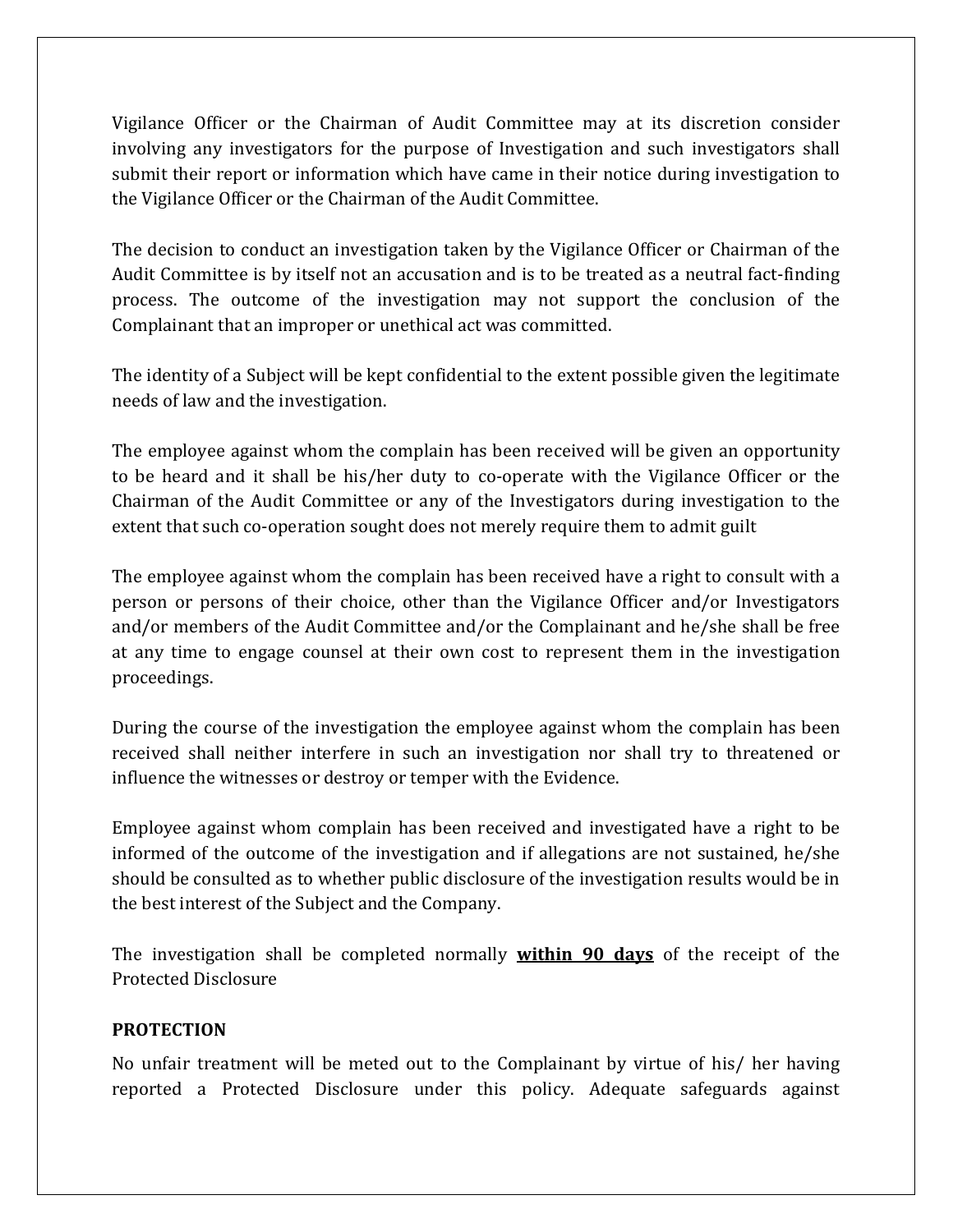Vigilance Officer or the Chairman of Audit Committee may at its discretion consider involving any investigators for the purpose of Investigation and such investigators shall submit their report or information which have came in their notice during investigation to the Vigilance Officer or the Chairman of the Audit Committee.

The decision to conduct an investigation taken by the Vigilance Officer or Chairman of the Audit Committee is by itself not an accusation and is to be treated as a neutral fact-finding process. The outcome of the investigation may not support the conclusion of the Complainant that an improper or unethical act was committed.

The identity of a Subject will be kept confidential to the extent possible given the legitimate needs of law and the investigation.

The employee against whom the complain has been received will be given an opportunity to be heard and it shall be his/her duty to co-operate with the Vigilance Officer or the Chairman of the Audit Committee or any of the Investigators during investigation to the extent that such co-operation sought does not merely require them to admit guilt

The employee against whom the complain has been received have a right to consult with a person or persons of their choice, other than the Vigilance Officer and/or Investigators and/or members of the Audit Committee and/or the Complainant and he/she shall be free at any time to engage counsel at their own cost to represent them in the investigation proceedings.

During the course of the investigation the employee against whom the complain has been received shall neither interfere in such an investigation nor shall try to threatened or influence the witnesses or destroy or temper with the Evidence.

Employee against whom complain has been received and investigated have a right to be informed of the outcome of the investigation and if allegations are not sustained, he/she should be consulted as to whether public disclosure of the investigation results would be in the best interest of the Subject and the Company.

The investigation shall be completed normally within 90 days of the receipt of the Protected Disclosure

#### **PROTECTION**

No unfair treatment will be meted out to the Complainant by virtue of his/ her having reported a Protected Disclosure under this policy. Adequate safeguards against